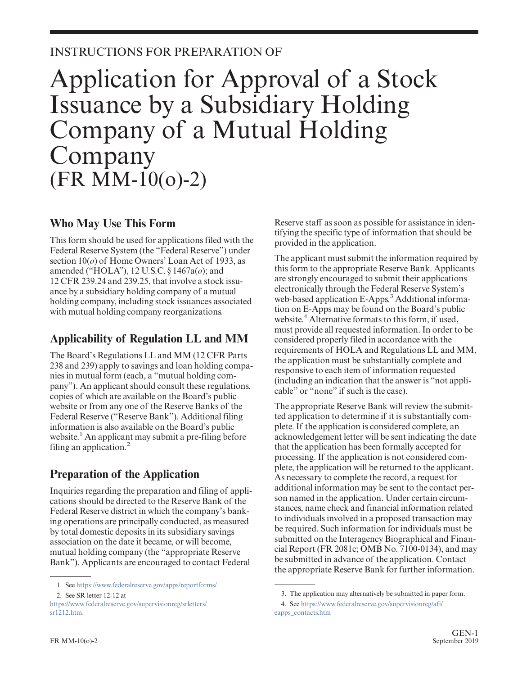## INSTRUCTIONS FOR PREPARATION OF

# Application for Approval of a Stock Issuance by a Subsidiary Holding Company of a Mutual Holding Company  $(FR \ \dot{M}M-10(0)-2)$

### **Who May Use This Form**

This form should be used for applications filed with the Federal Reserve System (the "Federal Reserve") under section 10(*o*) of Home Owners' Loan Act of 1933, as amended ("HOLA"), 12 U.S.C. § 1467a(*o*); and 12 CFR 239.24 and 239.25, that involve a stock issuance by a subsidiary holding company of a mutual holding company, including stock issuances associated with mutual holding company reorganizations.

## **Applicability of Regulation LL and MM**

The Board's Regulations LL and MM (12 CFR Parts 238 and 239) apply to savings and loan holding companies in mutual form (each, a "mutual holding company"). An applicant should consult these regulations, copies of which are available on the Board's public website or from any one of the Reserve Banks of the Federal Reserve ("Reserve Bank"). Additional filing information is also available on the Board's public website.<sup>1</sup> An applicant may submit a pre-filing before filing an application. $<sup>2</sup>$ </sup>

# **Preparation of the Application**

Inquiries regarding the preparation and filing of applications should be directed to the Reserve Bank of the Federal Reserve district in which the company's banking operations are principally conducted, as measured by total domestic deposits in its subsidiary savings association on the date it became, or will become, mutual holding company (the "appropriate Reserve Bank"). Applicants are encouraged to contact Federal

Reserve staff as soon as possible for assistance in identifying the specific type of information that should be provided in the application.

The applicant must submit the information required by this form to the appropriate Reserve Bank. Applicants are strongly encouraged to submit their applications electronically through the Federal Reserve System's web-based application E-Apps.<sup>3</sup> Additional information on E-Apps may be found on the Board's public website.<sup>4</sup> Alternative formats to this form, if used, must provide all requested information. In order to be considered properly filed in accordance with the requirements of HOLA and Regulations LL and MM, the application must be substantially complete and responsive to each item of information requested (including an indication that the answer is "not applicable" or "none" if such is the case).

The appropriate Reserve Bank will review the submitted application to determine if it is substantially complete. If the application is considered complete, an acknowledgement letter will be sent indicating the date that the application has been formally accepted for processing. If the application is not considered complete, the application will be returned to the applicant. As necessary to complete the record, a request for additional information may be sent to the contact person named in the application. Under certain circumstances, name check and financial information related to individuals involved in a proposed transaction may be required. Such information for individuals must be submitted on the Interagency Biographical and Financial Report (FR 2081c; OMB No. 7100-0134), and may be submitted in advance of the application. Contact the appropriate Reserve Bank for further information.

<sup>1.</sup> See <https://www.federalreserve.gov/apps/reportforms/>

<sup>2.</sup> See SR letter 12-12 at

[https://www.federalreserve.gov/supervisionreg/srletters/](https://www.federalreserve.gov/supervisionreg/srletters/sr1212.htm) [sr1212.htm.](https://www.federalreserve.gov/supervisionreg/srletters/sr1212.htm)

<sup>3.</sup> The application may alternatively be submitted in paper form.

<sup>4.</sup> See [https://www.federalreserve.gov/supervisionreg/afi/](https://www.federalreserve.gov/supervisionreg/afi/eapps_contacts.htm) [eapps\\_contacts.htm](https://www.federalreserve.gov/supervisionreg/afi/eapps_contacts.htm)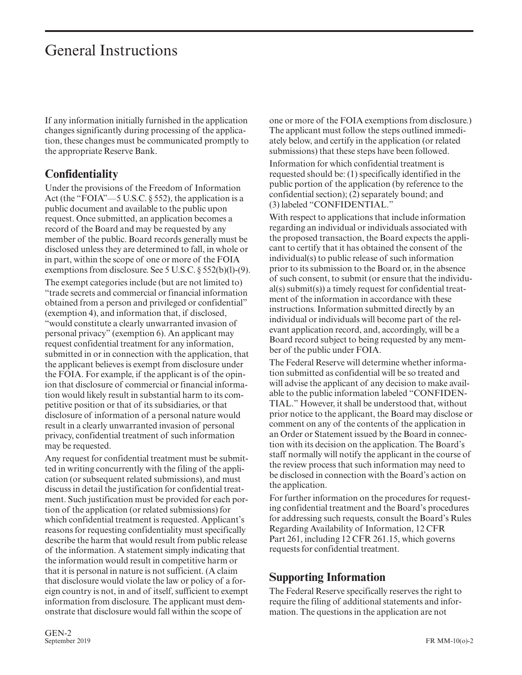If any information initially furnished in the application changes significantly during processing of the application, these changes must be communicated promptly to the appropriate Reserve Bank.

### **Confidentiality**

Under the provisions of the Freedom of Information Act (the "FOIA"—5 U.S.C. § 552), the application is a public document and available to the public upon request. Once submitted, an application becomes a record of the Board and may be requested by any member of the public. Board records generally must be disclosed unless they are determined to fall, in whole or in part, within the scope of one or more of the FOIA exemptions from disclosure. See 5 U.S.C. § 552(b)(l)-(9).

The exempt categories include (but are not limited to) "trade secrets and commercial or financial information obtained from a person and privileged or confidential" (exemption 4), and information that, if disclosed, "would constitute a clearly unwarranted invasion of personal privacy" (exemption 6). An applicant may request confidential treatment for any information, submitted in or in connection with the application, that the applicant believes is exempt from disclosure under the FOIA. For example, if the applicant is of the opinion that disclosure of commercial or financial information would likely result in substantial harm to its competitive position or that of its subsidiaries, or that disclosure of information of a personal nature would result in a clearly unwarranted invasion of personal privacy, confidential treatment of such information may be requested.

Any request for confidential treatment must be submitted in writing concurrently with the filing of the application (or subsequent related submissions), and must discuss in detail the justification for confidential treatment. Such justification must be provided for each portion of the application (or related submissions) for which confidential treatment is requested. Applicant's reasons for requesting confidentiality must specifically describe the harm that would result from public release of the information. A statement simply indicating that the information would result in competitive harm or that it is personal in nature is not sufficient. (A claim that disclosure would violate the law or policy of a foreign country is not, in and of itself, sufficient to exempt information from disclosure. The applicant must demonstrate that disclosure would fall within the scope of

one or more of the FOIA exemptions from disclosure.) The applicant must follow the steps outlined immediately below, and certify in the application (or related submissions) that these steps have been followed.

Information for which confidential treatment is requested should be: (1) specifically identified in the public portion of the application (by reference to the confidential section); (2) separately bound; and (3) labeled "CONFIDENTIAL."

With respect to applications that include information regarding an individual or individuals associated with the proposed transaction, the Board expects the applicant to certify that it has obtained the consent of the individual(s) to public release of such information prior to its submission to the Board or, in the absence of such consent, to submit (or ensure that the individual(s) submit(s)) a timely request for confidential treatment of the information in accordance with these instructions. Information submitted directly by an individual or individuals will become part of the relevant application record, and, accordingly, will be a Board record subject to being requested by any member of the public under FOIA.

The Federal Reserve will determine whether information submitted as confidential will be so treated and will advise the applicant of any decision to make available to the public information labeled "CONFIDEN-TIAL." However, it shall be understood that, without prior notice to the applicant, the Board may disclose or comment on any of the contents of the application in an Order or Statement issued by the Board in connection with its decision on the application. The Board's staff normally will notify the applicant in the course of the review process that such information may need to be disclosed in connection with the Board's action on the application.

For further information on the procedures for requesting confidential treatment and the Board's procedures for addressing such requests, consult the Board's Rules Regarding Availability of Information, 12 CFR Part 261, including 12 CFR 261.15, which governs requests for confidential treatment.

### **Supporting Information**

The Federal Reserve specifically reserves the right to require the filing of additional statements and information. The questions in the application are not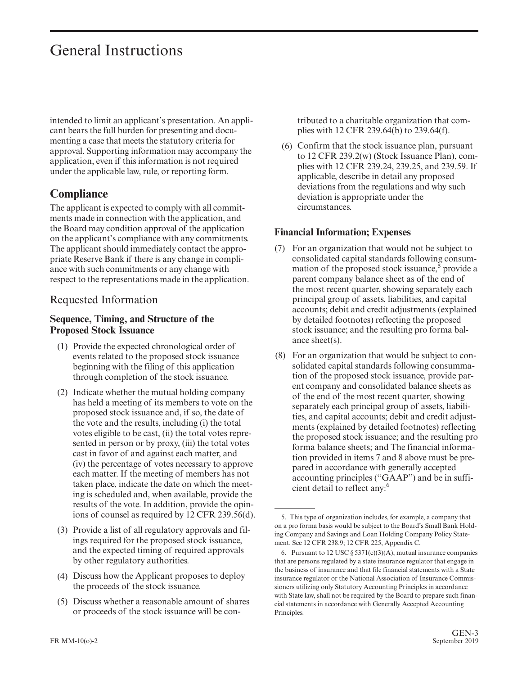intended to limit an applicant's presentation. An applicant bears the full burden for presenting and documenting a case that meets the statutory criteria for approval. Supporting information may accompany the application, even if this information is not required under the applicable law, rule, or reporting form.

### **Compliance**

The applicant is expected to comply with all commitments made in connection with the application, and the Board may condition approval of the application on the applicant's compliance with any commitments. The applicant should immediately contact the appropriate Reserve Bank if there is any change in compliance with such commitments or any change with respect to the representations made in the application.

### Requested Information

### **Sequence, Timing, and Structure of the Proposed Stock Issuance**

- (1) Provide the expected chronological order of events related to the proposed stock issuance beginning with the filing of this application through completion of the stock issuance.
- (2) Indicate whether the mutual holding company has held a meeting of its members to vote on the proposed stock issuance and, if so, the date of the vote and the results, including (i) the total votes eligible to be cast, (ii) the total votes represented in person or by proxy, (iii) the total votes cast in favor of and against each matter, and (iv) the percentage of votes necessary to approve each matter. If the meeting of members has not taken place, indicate the date on which the meeting is scheduled and, when available, provide the results of the vote. In addition, provide the opinions of counsel as required by 12 CFR 239.56(d).
- (3) Provide a list of all regulatory approvals and filings required for the proposed stock issuance, and the expected timing of required approvals by other regulatory authorities.
- (4) Discuss how the Applicant proposes to deploy the proceeds of the stock issuance.
- (5) Discuss whether a reasonable amount of shares or proceeds of the stock issuance will be con-

tributed to a charitable organization that complies with 12 CFR 239.64(b) to 239.64(f).

(6) Confirm that the stock issuance plan, pursuant to 12 CFR 239.2(w) (Stock Issuance Plan), complies with 12 CFR 239.24, 239.25, and 239.59. If applicable, describe in detail any proposed deviations from the regulations and why such deviation is appropriate under the circumstances.

### **Financial Information; Expenses**

- (7) For an organization that would not be subject to consolidated capital standards following consummation of the proposed stock issuance,  $\overline{5}$  provide a parent company balance sheet as of the end of the most recent quarter, showing separately each principal group of assets, liabilities, and capital accounts; debit and credit adjustments (explained by detailed footnotes) reflecting the proposed stock issuance; and the resulting pro forma balance sheet(s).
- (8) For an organization that would be subject to consolidated capital standards following consummation of the proposed stock issuance, provide parent company and consolidated balance sheets as of the end of the most recent quarter, showing separately each principal group of assets, liabilities, and capital accounts; debit and credit adjustments (explained by detailed footnotes) reflecting the proposed stock issuance; and the resulting pro forma balance sheets; and The financial information provided in items 7 and 8 above must be prepared in accordance with generally accepted accounting principles ("GAAP") and be in sufficient detail to reflect any:<sup>6</sup>

<sup>5.</sup> This type of organization includes, for example, a company that on a pro forma basis would be subject to the Board's Small Bank Holding Company and Savings and Loan Holding Company Policy Statement. See 12 CFR 238.9; 12 CFR 225, Appendix C.

<sup>6.</sup> Pursuant to  $12 \text{ USC} \S 5371(c)(3)(A)$ , mutual insurance companies that are persons regulated by a state insurance regulator that engage in the business of insurance and that file financial statements with a State insurance regulator or the National Association of Insurance Commissioners utilizing only Statutory Accounting Principles in accordance with State law, shall not be required by the Board to prepare such financial statements in accordance with Generally Accepted Accounting Principles.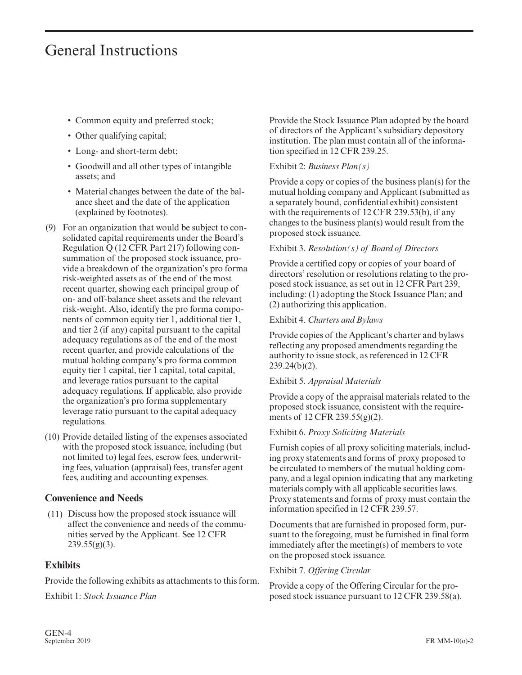- Common equity and preferred stock;
- Other qualifying capital;
- Long- and short-term debt;
- Goodwill and all other types of intangible assets; and
- Material changes between the date of the balance sheet and the date of the application (explained by footnotes).
- (9) For an organization that would be subject to consolidated capital requirements under the Board's Regulation Q (12 CFR Part 217) following consummation of the proposed stock issuance, provide a breakdown of the organization's pro forma risk-weighted assets as of the end of the most recent quarter, showing each principal group of on- and off-balance sheet assets and the relevant risk-weight. Also, identify the pro forma components of common equity tier 1, additional tier 1, and tier 2 (if any) capital pursuant to the capital adequacy regulations as of the end of the most recent quarter, and provide calculations of the mutual holding company's pro forma common equity tier 1 capital, tier 1 capital, total capital, and leverage ratios pursuant to the capital adequacy regulations. If applicable, also provide the organization's pro forma supplementary leverage ratio pursuant to the capital adequacy regulations.
- (10) Provide detailed listing of the expenses associated with the proposed stock issuance, including (but not limited to) legal fees, escrow fees, underwriting fees, valuation (appraisal) fees, transfer agent fees, auditing and accounting expenses.

### **Convenience and Needs**

(11) Discuss how the proposed stock issuance will affect the convenience and needs of the communities served by the Applicant. See 12 CFR  $239.55(g)(3)$ .

### **Exhibits**

Provide the following exhibits as attachments to this form.

Exhibit 1: *Stock Issuance Plan*

Provide the Stock Issuance Plan adopted by the board of directors of the Applicant's subsidiary depository institution. The plan must contain all of the information specified in 12 CFR 239.25.

### Exhibit 2: *Business Plan(s)*

Provide a copy or copies of the business plan(s) for the mutual holding company and Applicant (submitted as a separately bound, confidential exhibit) consistent with the requirements of 12 CFR 239.53(b), if any changes to the business plan(s) would result from the proposed stock issuance.

### Exhibit 3. *Resolution(s) of Board of Directors*

Provide a certified copy or copies of your board of directors' resolution or resolutions relating to the proposed stock issuance, as set out in 12 CFR Part 239, including: (1) adopting the Stock Issuance Plan; and (2) authorizing this application.

### Exhibit 4. *Charters and Bylaws*

Provide copies of the Applicant's charter and bylaws reflecting any proposed amendments regarding the authority to issue stock, as referenced in 12 CFR 239.24(b)(2).

### Exhibit 5. *Appraisal Materials*

Provide a copy of the appraisal materials related to the proposed stock issuance, consistent with the requirements of 12 CFR 239.55(g)(2).

### Exhibit 6. *Proxy Soliciting Materials*

Furnish copies of all proxy soliciting materials, including proxy statements and forms of proxy proposed to be circulated to members of the mutual holding company, and a legal opinion indicating that any marketing materials comply with all applicable securities laws. Proxy statements and forms of proxy must contain the information specified in 12 CFR 239.57.

Documents that are furnished in proposed form, pursuant to the foregoing, must be furnished in final form immediately after the meeting(s) of members to vote on the proposed stock issuance.

#### Exhibit 7. *Offering Circular*

Provide a copy of the Offering Circular for the proposed stock issuance pursuant to 12 CFR 239.58(a).